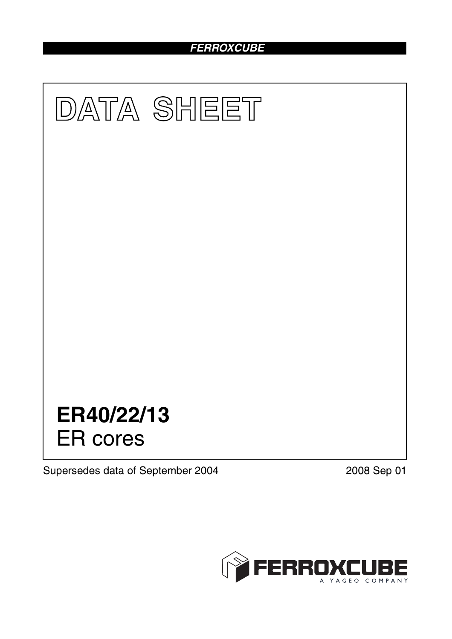# *FERROXCUBE*



Supersedes data of September 2004 2008 Sep 01

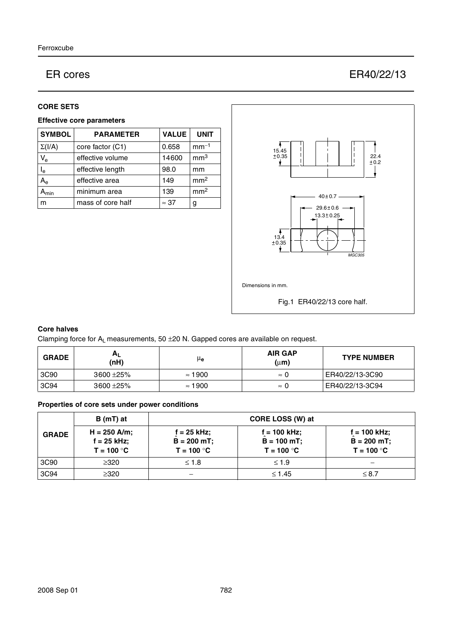# ER cores ER40/22/13

### **CORE SETS**

## **Effective core parameters**

| <b>SYMBOL</b>             | <b>PARAMETER</b>  | <b>VALUE</b> | <b>UNIT</b>     |
|---------------------------|-------------------|--------------|-----------------|
| $\Sigma(I/A)$             | core factor (C1)  | 0.658        | $mm-1$          |
| $V_{\rm e}$               | effective volume  | 14600        | mm <sup>3</sup> |
| $\mathsf{l}_{\mathsf{e}}$ | effective length  | 98.0         | mm              |
| $A_{\rm e}$               | effective area    | 149          | mm <sup>2</sup> |
| <b>\</b> min              | minimum area      | 139          | mm <sup>2</sup> |
| m                         | mass of core half | $\approx$ 37 | g               |



# **Core halves**

Clamping force for  $A_L$  measurements, 50  $\pm$ 20 N. Gapped cores are available on request.

| <b>GRADE</b> | A <sub>L</sub><br>(nH) | μ <sub>e</sub> | <b>AIR GAP</b><br>$(\mu m)$ | <b>TYPE NUMBER</b> |
|--------------|------------------------|----------------|-----------------------------|--------------------|
| 3C90         | $3600 + 25\%$          | $\approx$ 1900 | $\approx$ ()                | ER40/22/13-3C90    |
| 3C94         | $3600 + 25\%$          | $\approx$ 1900 | $\approx$ 1                 | ER40/22/13-3C94    |

# **Properties of core sets under power conditions**

|              | B (mT) at                                       | CORE LOSS (W) at                             |                                                  |                                                  |
|--------------|-------------------------------------------------|----------------------------------------------|--------------------------------------------------|--------------------------------------------------|
| <b>GRADE</b> | $H = 250$ A/m;<br>$f = 25$ kHz;<br>$T = 100 °C$ | f = 25 kHz:<br>$B = 200$ mT;<br>$T = 100 °C$ | $f = 100$ kHz;<br>$B = 100 mT$ ;<br>$T = 100 °C$ | $f = 100$ kHz;<br>$B = 200 mT$ ;<br>$T = 100 °C$ |
| 3C90         | >320                                            | $\leq 1.8$                                   | < 1.9                                            |                                                  |
| 3C94         | $\geq$ 320                                      | –                                            | $\leq 1.45$                                      | $\leq 8.7$                                       |